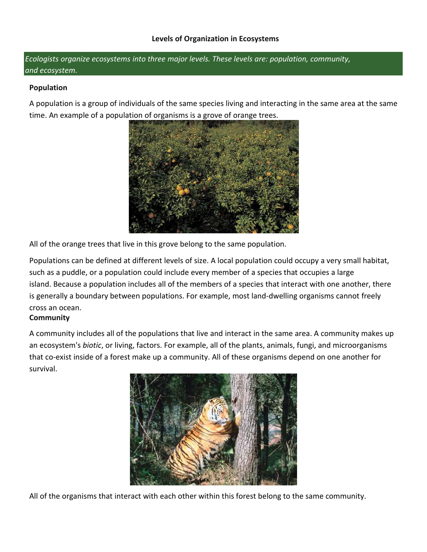*Ecologists organize ecosystems into three major levels. These levels are: population, community, and ecosystem.*

#### **Population**

A population is a group of individuals of the same species living and interacting in the same area at the same time. An example of a population of organisms is a grove of orange trees.



All of the orange trees that live in this grove belong to the same population.

Populations can be defined at different levels of size. A local population could occupy a very small habitat, such as a puddle, or a population could include every member of a species that occupies a large island. Because a population includes all of the members of a species that interact with one another, there is generally a boundary between populations. For example, most land-dwelling organisms cannot freely cross an ocean.

# **Community**

A community includes all of the populations that live and interact in the same area. A community makes up an ecosystem's *biotic*, or living, factors. For example, all of the plants, animals, fungi, and microorganisms that co-exist inside of a forest make up a community. All of these organisms depend on one another for survival.



All of the organisms that interact with each other within this forest belong to the same community.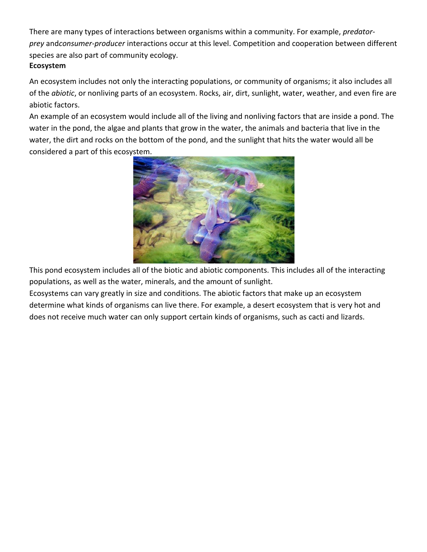There are many types of interactions between organisms within a community. For example, *predatorprey* and*consumer-producer* interactions occur at this level. Competition and cooperation between different species are also part of community ecology. **Ecosystem**

An ecosystem includes not only the interacting populations, or community of organisms; it also includes all of the *abiotic*, or nonliving parts of an ecosystem. Rocks, air, dirt, sunlight, water, weather, and even fire are abiotic factors.

An example of an ecosystem would include all of the living and nonliving factors that are inside a pond. The water in the pond, the algae and plants that grow in the water, the animals and bacteria that live in the water, the dirt and rocks on the bottom of the pond, and the sunlight that hits the water would all be considered a part of this ecosystem.



This pond ecosystem includes all of the biotic and abiotic components. This includes all of the interacting populations, as well as the water, minerals, and the amount of sunlight.

Ecosystems can vary greatly in size and conditions. The abiotic factors that make up an ecosystem determine what kinds of organisms can live there. For example, a desert ecosystem that is very hot and does not receive much water can only support certain kinds of organisms, such as cacti and lizards.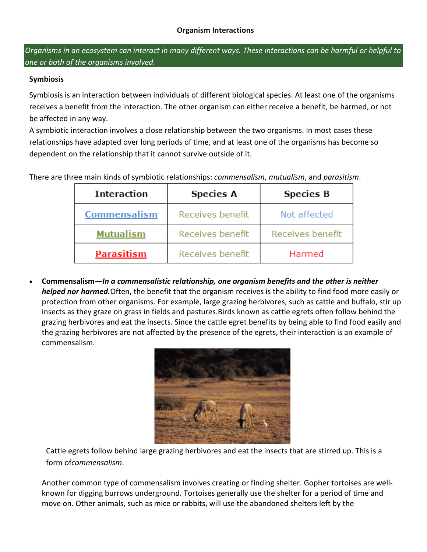Organisms in an ecosystem can interact in many different ways. These interactions can be harmful or helpful to *one or both of the organisms involved.*

### **Symbiosis**

Symbiosis is an interaction between individuals of different biological species. At least one of the organisms receives a benefit from the interaction. The other organism can either receive a benefit, be harmed, or not be affected in any way.

A symbiotic interaction involves a close relationship between the two organisms. In most cases these relationships have adapted over long periods of time, and at least one of the organisms has become so dependent on the relationship that it cannot survive outside of it.

There are three main kinds of symbiotic relationships: *commensalism*, *mutualism*, and *parasitism*.

| <b>Interaction</b>  | <b>Species A</b> | <b>Species B</b> |
|---------------------|------------------|------------------|
| <b>Commensalism</b> | Receives benefit | Not affected     |
| <b>Mutualism</b>    | Receives benefit | Receives benefit |
| <b>Parasitism</b>   | Receives benefit | Harmed           |

 **Commensalism—***In a commensalistic relationship, one organism benefits and the other is neither helped nor harmed.*Often, the benefit that the organism receives is the ability to find food more easily or protection from other organisms. For example, large grazing herbivores, such as cattle and buffalo, stir up insects as they graze on grass in fields and pastures.Birds known as cattle egrets often follow behind the grazing herbivores and eat the insects. Since the cattle egret benefits by being able to find food easily and the grazing herbivores are not affected by the presence of the egrets, their interaction is an example of commensalism.



Cattle egrets follow behind large grazing herbivores and eat the insects that are stirred up. This is a form of*commensalism*.

Another common type of commensalism involves creating or finding shelter. Gopher tortoises are wellknown for digging burrows underground. Tortoises generally use the shelter for a period of time and move on. Other animals, such as mice or rabbits, will use the abandoned shelters left by the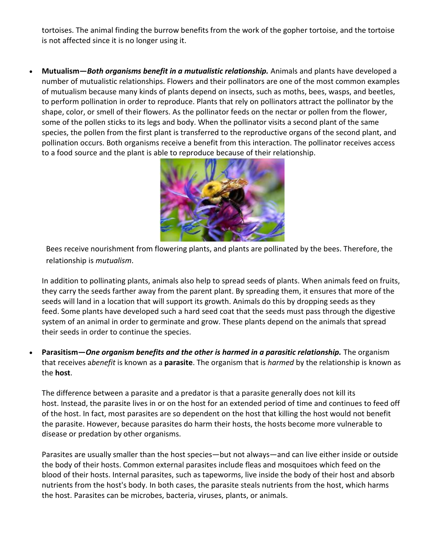tortoises. The animal finding the burrow benefits from the work of the gopher tortoise, and the tortoise is not affected since it is no longer using it.

 **Mutualism—***Both organisms benefit in a mutualistic relationship.* Animals and plants have developed a number of mutualistic relationships. Flowers and their pollinators are one of the most common examples of mutualism because many kinds of plants depend on insects, such as moths, bees, wasps, and beetles, to perform pollination in order to reproduce. Plants that rely on pollinators attract the pollinator by the shape, color, or smell of their flowers. As the pollinator feeds on the nectar or pollen from the flower, some of the pollen sticks to its legs and body. When the pollinator visits a second plant of the same species, the pollen from the first plant is transferred to the reproductive organs of the second plant, and pollination occurs. Both organisms receive a benefit from this interaction. The pollinator receives access to a food source and the plant is able to reproduce because of their relationship.



Bees receive nourishment from flowering plants, and plants are pollinated by the bees. Therefore, the relationship is *mutualism*.

In addition to pollinating plants, animals also help to spread seeds of plants. When animals feed on fruits, they carry the seeds farther away from the parent plant. By spreading them, it ensures that more of the seeds will land in a location that will support its growth. Animals do this by dropping seeds as they feed. Some plants have developed such a hard seed coat that the seeds must pass through the digestive system of an animal in order to germinate and grow. These plants depend on the animals that spread their seeds in order to continue the species.

 **Parasitism—***One organism benefits and the other is harmed in a parasitic relationship.* The organism that receives a*benefit* is known as a **parasite**. The organism that is *harmed* by the relationship is known as the **host**.

The difference between a parasite and a predator is that a parasite generally does not kill its host. Instead, the parasite lives in or on the host for an extended period of time and continues to feed off of the host. In fact, most parasites are so dependent on the host that killing the host would not benefit the parasite. However, because parasites do harm their hosts, the hosts become more vulnerable to disease or predation by other organisms.

Parasites are usually smaller than the host species—but not always—and can live either inside or outside the body of their hosts. Common external parasites include fleas and mosquitoes which feed on the blood of their hosts. Internal parasites, such as tapeworms, live inside the body of their host and absorb nutrients from the host's body. In both cases, the parasite steals nutrients from the host, which harms the host. Parasites can be microbes, bacteria, viruses, plants, or animals.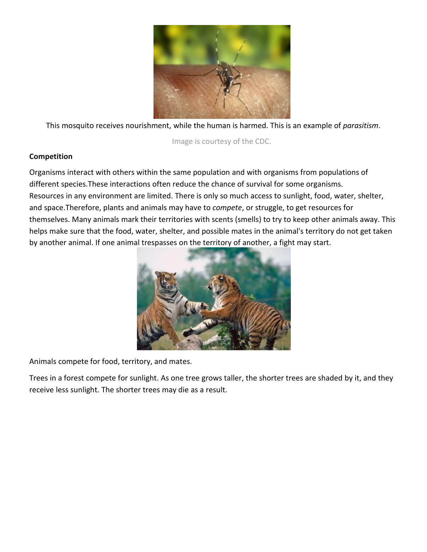

This mosquito receives nourishment, while the human is harmed. This is an example of *parasitism*.

Image is courtesy of the CDC.

### **Competition**

Organisms interact with others within the same population and with organisms from populations of different species.These interactions often reduce the chance of survival for some organisms. Resources in any environment are limited. There is only so much access to sunlight, food, water, shelter, and space.Therefore, plants and animals may have to *compete*, or struggle, to get resources for themselves. Many animals mark their territories with scents (smells) to try to keep other animals away. This helps make sure that the food, water, shelter, and possible mates in the animal's territory do not get taken by another animal. If one animal trespasses on the territory of another, a fight may start.



Animals compete for food, territory, and mates.

Trees in a forest compete for sunlight. As one tree grows taller, the shorter trees are shaded by it, and they receive less sunlight. The shorter trees may die as a result.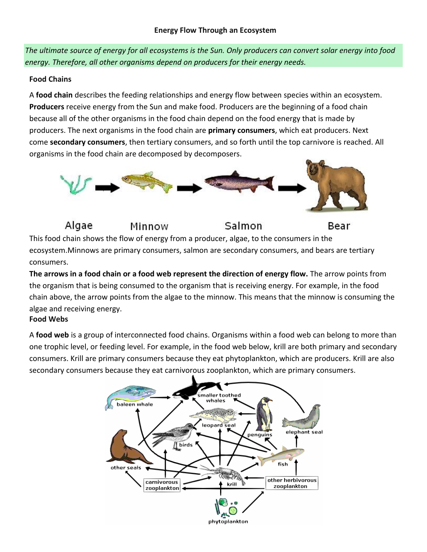The ultimate source of energy for all ecosystems is the Sun. Only producers can convert solar energy into food *energy. Therefore, all other organisms depend on producers for their energy needs.*

#### **Food Chains**

A **food chain** describes the feeding relationships and energy flow between species within an ecosystem. **Producers** receive energy from the Sun and make food. Producers are the beginning of a food chain because all of the other organisms in the food chain depend on the food energy that is made by producers. The next organisms in the food chain are **primary consumers**, which eat producers. Next come **secondary consumers**, then tertiary consumers, and so forth until the top carnivore is reached. All organisms in the food chain are decomposed by decomposers.



Salmon

Bear

Algae Minnow This food chain shows the flow of energy from a producer, algae, to the consumers in the ecosystem.Minnows are primary consumers, salmon are secondary consumers, and bears are tertiary consumers.

**The arrows in a food chain or a food web represent the direction of energy flow.** The arrow points from the organism that is being consumed to the organism that is receiving energy. For example, in the food chain above, the arrow points from the algae to the minnow. This means that the minnow is consuming the algae and receiving energy.

# **Food Webs**

A **food web** is a group of interconnected food chains. Organisms within a food web can belong to more than one trophic level, or feeding level. For example, in the food web below, krill are both primary and secondary consumers. Krill are primary consumers because they eat phytoplankton, which are producers. Krill are also secondary consumers because they eat carnivorous zooplankton, which are primary consumers.